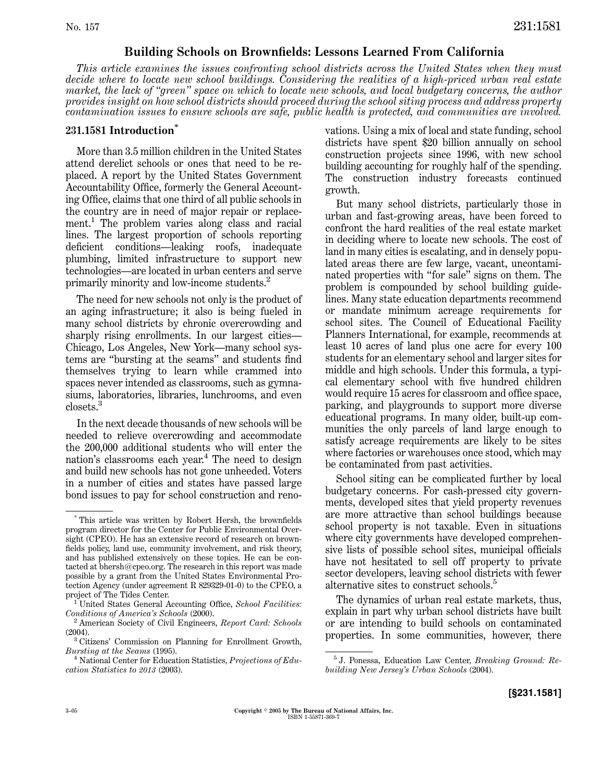## **Building Schools on Brownfields: Lessons Learned From California**

*This article examines the issues confronting school districts across the United States when they must decide where to locate new school buildings. Considering the realities of a high-priced urban real estate market, the lack of ''green'' space on which to locate new schools, and local budgetary concerns, the author provides insight on how school districts should proceed during the school siting process and address property contamination issues to ensure schools are safe, public health is protected, and communities are involved.*

## **231.1581 Introduction\***

More than 3.5 million children in the United States attend derelict schools or ones that need to be replaced. A report by the United States Government Accountability Office, formerly the General AccountingOffice, claims that one third of all public schools in the country are in need of major repair or replacement.<sup>1</sup> The problem varies along class and racial lines. The largest proportion of schools reporting deficient conditions—leaking roofs, inadequate plumbing, limited infrastructure to support new technologies—are located in urban centers and serve primarily minority and low-income students.<sup>2</sup>

The need for new schools not only is the product of an aging infrastructure; it also is being fueled in many school districts by chronic overcrowding and sharply rising enrollments. In our largest cities— Chicago, Los Angeles, New York—many school systems are "bursting at the seams" and students find themselves trying to learn while crammed into spaces never intended as classrooms, such as gymnasiums, laboratories, libraries, lunchrooms, and even closets.<sup>3</sup>

In the next decade thousands of new schools will be needed to relieve overcrowding and accommodate the 200,000 additional students who will enter the nation's classrooms each year.<sup>4</sup> The need to design and build new schools has not gone unheeded. Voters in a number of cities and states have passed large bond issues to pay for school construction and renovations. Usinga mix of local and state funding, school districts have spent \$20 billion annually on school construction projects since 1996, with new school building accounting for roughly half of the spending. The construction industry forecasts continued growth.

But many school districts, particularly those in urban and fast-growing areas, have been forced to confront the hard realities of the real estate market in deciding where to locate new schools. The cost of land in many cities is escalating, and in densely populated areas there are few large, vacant, uncontaminated properties with ''for sale'' signs on them. The problem is compounded by school building guidelines. Many state education departments recommend or mandate minimum acreage requirements for school sites. The Council of Educational Facility Planners International, for example, recommends at least 10 acres of land plus one acre for every 100 students for an elementary school and larger sites for middle and high schools. Under this formula, a typical elementary school with five hundred children would require 15 acres for classroom and office space, parking, and playgrounds to support more diverse educational programs. In many older, built-up communities the only parcels of land large enough to satisfy acreage requirements are likely to be sites where factories or warehouses once stood, which may be contaminated from past activities.

School siting can be complicated further by local budgetary concerns. For cash-pressed city governments, developed sites that yield property revenues are more attractive than school buildings because school property is not taxable. Even in situations where city governments have developed comprehensive lists of possible school sites, municipal officials have not hesitated to sell off property to private sector developers, leaving school districts with fewer alternative sites to construct schools.<sup>5</sup>

The dynamics of urban real estate markets, thus, explain in part why urban school districts have built or are intending to build schools on contaminated properties. In some communities, however, there

<sup>\*</sup> This article was written by Robert Hersh, the brownfields program director for the Center for Public Environmental Oversight (CPEO). He has an extensive record of research on brownfields policy, land use, community involvement, and risk theory, and has published extensively on these topics. He can be contacted at bhersh@cpeo.org. The research in this report was made possible by a grant from the United States Environmental Protection Agency (under agreement R 829329-01-0) to the CPEO, a

project of The Tides Center.<br><sup>1</sup> United States General Accounting Office, *School Facilities:*<br>*Conditions of America's Schools* (2000).

<sup>&</sup>lt;sup>2</sup> American Society of Civil Engineers, *Report Card: Schools* 

<sup>(2004).&</sup>lt;br><sup>3</sup> Citizens' Commission on Planning for Enrollment Growth,<br>*Bursting at the Seams* (1995).

<sup>&</sup>lt;sup>4</sup> National Center for Education Statistics, *Projections of Education Statistics to 2013* (2003).

<sup>5</sup> J. Ponessa, Education Law Center, *Breaking Ground: Rebuilding New Jersey's Urban Schools* (2004).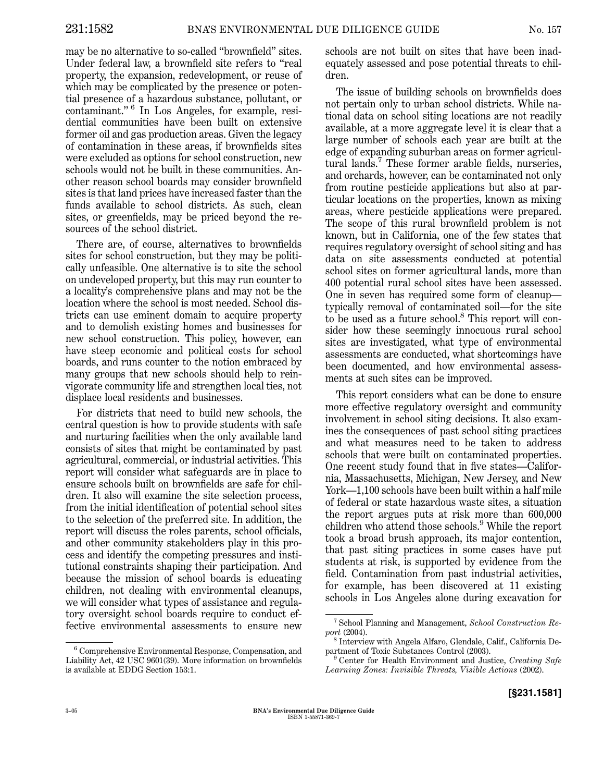may be no alternative to so-called ''brownfield'' sites. Under federal law, a brownfield site refers to ''real property, the expansion, redevelopment, or reuse of which may be complicated by the presence or potential presence of a hazardous substance, pollutant, or contaminant." <sup>6</sup> In Los Angeles, for example, residential communities have been built on extensive former oil and gas production areas. Given the legacy of contamination in these areas, if brownfields sites were excluded as options for school construction, new schools would not be built in these communities. Another reason school boards may consider brownfield sites is that land prices have increased faster than the funds available to school districts. As such, clean sites, or greenfields, may be priced beyond the resources of the school district.

There are, of course, alternatives to brownfields sites for school construction, but they may be politically unfeasible. One alternative is to site the school on undeveloped property, but this may run counter to a locality's comprehensive plans and may not be the location where the school is most needed. School districts can use eminent domain to acquire property and to demolish existing homes and businesses for new school construction. This policy, however, can have steep economic and political costs for school boards, and runs counter to the notion embraced by many groups that new schools should help to reinvigorate community life and strengthen local ties, not displace local residents and businesses.

For districts that need to build new schools, the central question is how to provide students with safe and nurturing facilities when the only available land consists of sites that might be contaminated by past agricultural, commercial, or industrial activities. This report will consider what safeguards are in place to ensure schools built on brownfields are safe for children. It also will examine the site selection process, from the initial identification of potential school sites to the selection of the preferred site. In addition, the report will discuss the roles parents, school officials, and other community stakeholders play in this process and identify the competing pressures and institutional constraints shaping their participation. And because the mission of school boards is educating children, not dealing with environmental cleanups, we will consider what types of assistance and regulatory oversight school boards require to conduct effective environmental assessments to ensure new schools are not built on sites that have been inadequately assessed and pose potential threats to children.

The issue of building schools on brownfields does not pertain only to urban school districts. While national data on school siting locations are not readily available, at a more aggregate level it is clear that a large number of schools each year are built at the edge of expanding suburban areas on former agricultural lands.<sup>7</sup> These former arable fields, nurseries, and orchards, however, can be contaminated not only from routine pesticide applications but also at particular locations on the properties, known as mixing areas, where pesticide applications were prepared. The scope of this rural brownfield problem is not known, but in California, one of the few states that requires regulatory oversight of school siting and has data on site assessments conducted at potential school sites on former agricultural lands, more than 400 potential rural school sites have been assessed. One in seven has required some form of cleanup typically removal of contaminated soil—for the site to be used as a future school.<sup>8</sup> This report will consider how these seemingly innocuous rural school sites are investigated, what type of environmental assessments are conducted, what shortcomings have been documented, and how environmental assessments at such sites can be improved.

This report considers what can be done to ensure more effective regulatory oversight and community involvement in school siting decisions. It also examines the consequences of past school siting practices and what measures need to be taken to address schools that were built on contaminated properties. One recent study found that in five states—California, Massachusetts, Michigan, New Jersey, and New York—1,100 schools have been built within a half mile of federal or state hazardous waste sites, a situation the report argues puts at risk more than 600,000 children who attend those schools.<sup>9</sup> While the report took a broad brush approach, its major contention, that past siting practices in some cases have put students at risk, is supported by evidence from the field. Contamination from past industrial activities, for example, has been discovered at 11 existing schools in Los Angeles alone during excavation for

<sup>6</sup> Comprehensive Environmental Response, Compensation, and Liability Act, 42 USC 9601(39). More information on brownfields is available at EDDG Section 153:1.

<sup>&</sup>lt;sup>7</sup> School Planning and Management, *School Construction Re-*

*port* (2004). <sup>8</sup> Interview with Angela Alfaro, Glendale, Calif., California De-

<sup>&</sup>lt;sup>9</sup> Center for Health Environment and Justice, *Creating Safe Learning Zones: Invisible Threats, Visible Actions* (2002).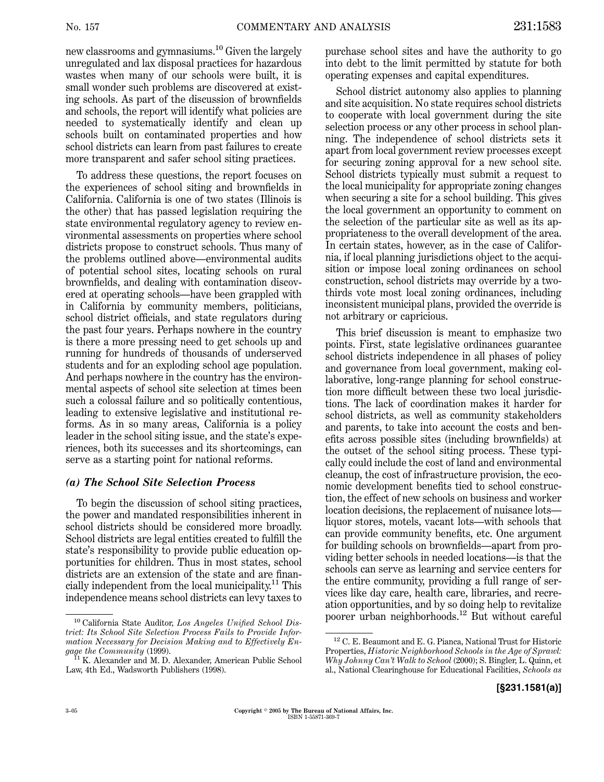new classrooms and gymnasiums.<sup>10</sup> Given the largely unregulated and lax disposal practices for hazardous wastes when many of our schools were built, it is small wonder such problems are discovered at existing schools. As part of the discussion of brownfields and schools, the report will identify what policies are needed to systematically identify and clean up schools built on contaminated properties and how school districts can learn from past failures to create more transparent and safer school siting practices.

To address these questions, the report focuses on the experiences of school sitingand brownfields in California. California is one of two states (Illinois is the other) that has passed legislation requiring the state environmental regulatory agency to review environmental assessments on properties where school districts propose to construct schools. Thus many of the problems outlined above—environmental audits of potential school sites, locating schools on rural brownfields, and dealing with contamination discovered at operating schools—have been grappled with in California by community members, politicians, school district officials, and state regulators during the past four years. Perhaps nowhere in the country is there a more pressing need to get schools up and running for hundreds of thousands of underserved students and for an exploding school age population. And perhaps nowhere in the country has the environmental aspects of school site selection at times been such a colossal failure and so politically contentious, leading to extensive legislative and institutional reforms. As in so many areas, California is a policy leader in the school siting issue, and the state's experiences, both its successes and its shortcomings, can serve as a starting point for national reforms.

#### *(a) The School Site Selection Process*

To begin the discussion of school siting practices, the power and mandated responsibilities inherent in school districts should be considered more broadly. School districts are legal entities created to fulfill the state's responsibility to provide public education opportunities for children. Thus in most states, school districts are an extension of the state and are financially independent from the local municipality.<sup>11</sup> This independence means school districts can levy taxes to

purchase school sites and have the authority to go into debt to the limit permitted by statute for both operatingexpenses and capital expenditures.

School district autonomy also applies to planning and site acquisition. No state requires school districts to cooperate with local government during the site selection process or any other process in school planning. The independence of school districts sets it apart from local government review processes except for securing zoning approval for a new school site. School districts typically must submit a request to the local municipality for appropriate zoning changes when securing a site for a school building. This gives the local government an opportunity to comment on the selection of the particular site as well as its appropriateness to the overall development of the area. In certain states, however, as in the case of California, if local planning jurisdictions object to the acquisition or impose local zoning ordinances on school construction, school districts may override by a twothirds vote most local zoning ordinances, including inconsistent municipal plans, provided the override is not arbitrary or capricious.

This brief discussion is meant to emphasize two points. First, state legislative ordinances guarantee school districts independence in all phases of policy and governance from local government, making collaborative, long-range planning for school construction more difficult between these two local jurisdictions. The lack of coordination makes it harder for school districts, as well as community stakeholders and parents, to take into account the costs and benefits across possible sites (including brownfields) at the outset of the school siting process. These typically could include the cost of land and environmental cleanup, the cost of infrastructure provision, the economic development benefits tied to school construction, the effect of new schools on business and worker location decisions, the replacement of nuisance lots liquor stores, motels, vacant lots—with schools that can provide community benefits, etc. One argument for building schools on brownfields—apart from providing better schools in needed locations—is that the schools can serve as learning and service centers for the entire community, providinga full range of services like day care, health care, libraries, and recreation opportunities, and by so doing help to revitalize <sup>10</sup> California State Auditor, *Los Angeles Unified School Dis-* poorer urban neighborhoods.<sup>12</sup> But without careful

*trict: Its School Site Selection Process Fails to Provide Information Necessary for Decision Making and to Effectively Engage the Community* (1999).<br><sup>11</sup> K. Alexander and M. D. Alexander, American Public School

Law, 4th Ed., Wadsworth Publishers (1998).

<sup>12</sup> C. E. Beaumont and E. G. Pianca, National Trust for Historic Properties, *Historic Neighborhood Schools in the Age of Sprawl: Why Johnny Can't Walk to School* (2000); S. Bingler, L. Quinn, et al., National Clearinghouse for Educational Facilities, *Schools as*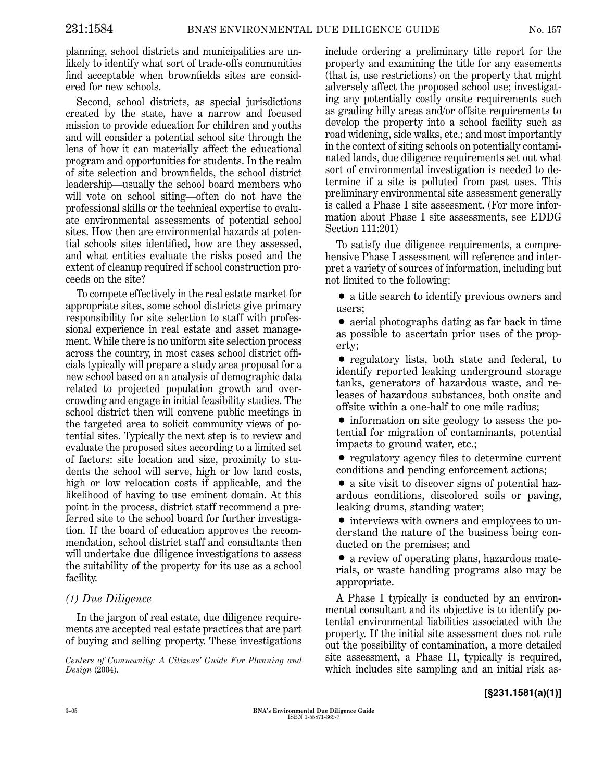planning, school districts and municipalities are unlikely to identify what sort of trade-offs communities find acceptable when brownfields sites are considered for new schools.

Second, school districts, as special jurisdictions created by the state, have a narrow and focused mission to provide education for children and youths and will consider a potential school site through the lens of how it can materially affect the educational program and opportunities for students. In the realm of site selection and brownfields, the school district leadership—usually the school board members who will vote on school siting—often do not have the professional skills or the technical expertise to evaluate environmental assessments of potential school sites. How then are environmental hazards at potential schools sites identified, how are they assessed, and what entities evaluate the risks posed and the extent of cleanup required if school construction proceeds on the site?

To compete effectively in the real estate market for appropriate sites, some school districts give primary responsibility for site selection to staff with professional experience in real estate and asset management. While there is no uniform site selection process across the country, in most cases school district officials typically will prepare a study area proposal for a new school based on an analysis of demographic data related to projected population growth and overcrowding and engage in initial feasibility studies. The school district then will convene public meetings in the targeted area to solicit community views of potential sites. Typically the next step is to review and evaluate the proposed sites according to a limited set of factors: site location and size, proximity to students the school will serve, high or low land costs, high or low relocation costs if applicable, and the likelihood of having to use eminent domain. At this point in the process, district staff recommend a preferred site to the school board for further investigation. If the board of education approves the recommendation, school district staff and consultants then will undertake due diligence investigations to assess the suitability of the property for its use as a school facility.

## *(1) Due Diligence*

In the jargon of real estate, due diligence requirements are accepted real estate practices that are part of buying and selling property. These investigations

*Design* (2004).

include ordering a preliminary title report for the property and examining the title for any easements (that is, use restrictions) on the property that might adversely affect the proposed school use; investigating any potentially costly onsite requirements such as grading hilly areas and/or offsite requirements to develop the property into a school facility such as road widening, side walks, etc.; and most importantly in the context of siting schools on potentially contaminated lands, due diligence requirements set out what sort of environmental investigation is needed to determine if a site is polluted from past uses. This preliminary environmental site assessment generally is called a Phase I site assessment. (For more information about Phase I site assessments, see EDDG Section 111:201)

To satisfy due diligence requirements, a comprehensive Phase I assessment will reference and interpret a variety of sources of information, includingbut not limited to the following:

• a title search to identify previous owners and users;

• aerial photographs dating as far back in time as possible to ascertain prior uses of the property;

• regulatory lists, both state and federal, to identify reported leaking underground storage tanks, generators of hazardous waste, and releases of hazardous substances, both onsite and offsite within a one-half to one mile radius;

• information on site geology to assess the potential for migration of contaminants, potential impacts to ground water, etc.;

• regulatory agency files to determine current conditions and pending enforcement actions;

• a site visit to discover signs of potential hazardous conditions, discolored soils or paving, leaking drums, standing water;

• interviews with owners and employees to understand the nature of the business being conducted on the premises; and

• a review of operating plans, hazardous materials, or waste handling programs also may be appropriate.

A Phase I typically is conducted by an environmental consultant and its objective is to identify potential environmental liabilities associated with the property. If the initial site assessment does not rule out the possibility of contamination, a more detailed site assessment, a Phase II, typically is required, Centers of Community: A Citizens' Guide For Planning and **Site assessment, a Phase 11, typically is required,**<br>Design (2004).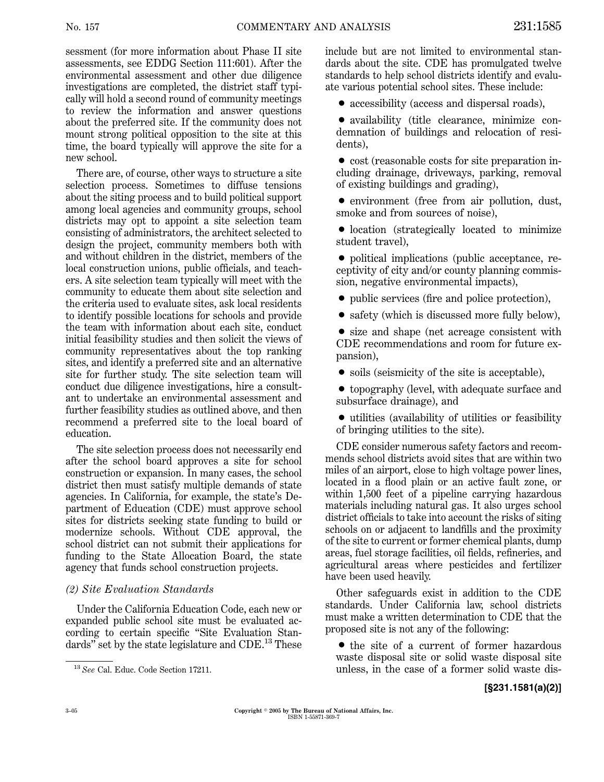sessment (for more information about Phase II site assessments, see EDDG Section 111:601). After the environmental assessment and other due diligence investigations are completed, the district staff typically will hold a second round of community meetings to review the information and answer questions about the preferred site. If the community does not mount strong political opposition to the site at this time, the board typically will approve the site for a new school.

There are, of course, other ways to structure a site selection process. Sometimes to diffuse tensions about the siting process and to build political support among local agencies and community groups, school districts may opt to appoint a site selection team consisting of administrators, the architect selected to design the project, community members both with and without children in the district, members of the local construction unions, public officials, and teachers. A site selection team typically will meet with the community to educate them about site selection and the criteria used to evaluate sites, ask local residents to identify possible locations for schools and provide the team with information about each site, conduct initial feasibility studies and then solicit the views of community representatives about the top ranking sites, and identify a preferred site and an alternative site for further study. The site selection team will conduct due diligence investigations, hire a consultant to undertake an environmental assessment and further feasibility studies as outlined above, and then recommend a preferred site to the local board of education.

The site selection process does not necessarily end after the school board approves a site for school construction or expansion. In many cases, the school district then must satisfy multiple demands of state agencies. In California, for example, the state's Department of Education (CDE) must approve school sites for districts seeking state funding to build or modernize schools. Without CDE approval, the school district can not submit their applications for funding to the State Allocation Board, the state agency that funds school construction projects.

#### *(2) Site Evaluation Standards*

Under the California Education Code, each new or expanded public school site must be evaluated according to certain specific "Site Evaluation Standards" set by the state legislature and CDE.<sup>13</sup> These include but are not limited to environmental standards about the site. CDE has promulgated twelve standards to help school districts identify and evaluate various potential school sites. These include:

• accessibility (access and dispersal roads),

• availability (title clearance, minimize condemnation of buildings and relocation of residents),

• cost (reasonable costs for site preparation including drainage, driveways, parking, removal of existing buildings and grading),

• environment (free from air pollution, dust, smoke and from sources of noise),

• location (strategically located to minimize student travel),

• political implications (public acceptance, receptivity of city and/or county planning commission, negative environmental impacts),

• public services (fire and police protection),

• safety (which is discussed more fully below),

• size and shape (net acreage consistent with CDE recommendations and room for future expansion),

• soils (seismicity of the site is acceptable),

• topography (level, with adequate surface and subsurface drainage), and

 $\bullet$  utilities (availability of utilities or feasibility of bringing utilities to the site).

CDE consider numerous safety factors and recommends school districts avoid sites that are within two miles of an airport, close to high voltage power lines, located in a flood plain or an active fault zone, or within  $1,500$  feet of a pipeline carrying hazardous materials including natural gas. It also urges school district officials to take into account the risks of siting schools on or adjacent to landfills and the proximity of the site to current or former chemical plants, dump areas, fuel storage facilities, oil fields, refineries, and agricultural areas where pesticides and fertilizer have been used heavily.

Other safeguards exist in addition to the CDE standards. Under California law, school districts must make a written determination to CDE that the proposed site is not any of the following:

• the site of a current of former hazardous waste disposal site or solid waste disposal site <sup>13</sup> See Cal. Educ. Code Section 17211. **13 unless, in the case of a former solid waste dis-**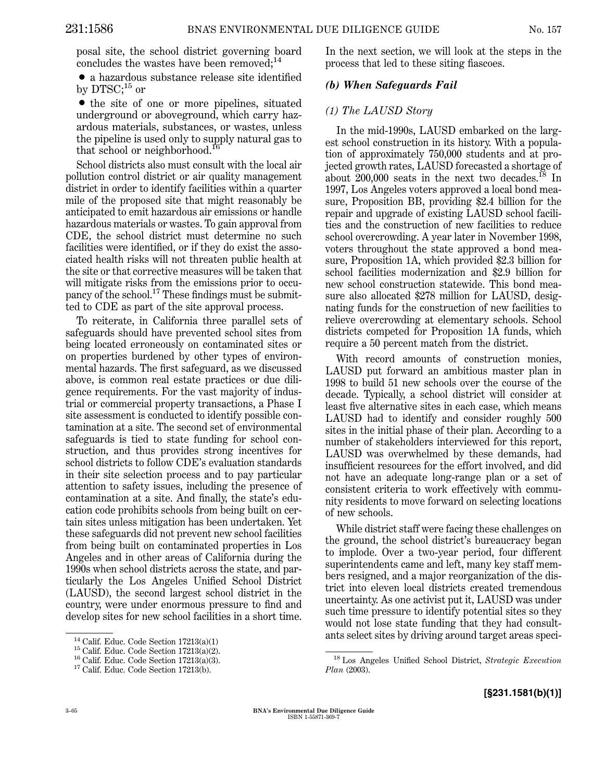posal site, the school district governing board concludes the wastes have been removed; $^{14}$ 

• a hazardous substance release site identified by DTSC;<sup>15</sup> or

• the site of one or more pipelines, situated underground or aboveground, which carry hazardous materials, substances, or wastes, unless the pipeline is used only to supply natural gas to that school or neighborhood.<sup>16</sup>

School districts also must consult with the local air pollution control district or air quality management district in order to identify facilities within a quarter mile of the proposed site that might reasonably be anticipated to emit hazardous air emissions or handle hazardous materials or wastes. To gain approval from CDE, the school district must determine no such facilities were identified, or if they do exist the associated health risks will not threaten public health at the site or that corrective measures will be taken that will mitigate risks from the emissions prior to occupancy of the school.<sup>17</sup> These findings must be submitted to CDE as part of the site approval process.

To reiterate, in California three parallel sets of safeguards should have prevented school sites from being located erroneously on contaminated sites or on properties burdened by other types of environmental hazards. The first safeguard, as we discussed above, is common real estate practices or due diligence requirements. For the vast majority of industrial or commercial property transactions, a Phase I site assessment is conducted to identify possible contamination at a site. The second set of environmental safeguards is tied to state funding for school construction, and thus provides strong incentives for school districts to follow CDE's evaluation standards in their site selection process and to pay particular attention to safety issues, including the presence of contamination at a site. And finally, the state's education code prohibits schools from being built on certain sites unless mitigation has been undertaken. Yet these safeguards did not prevent new school facilities from being built on contaminated properties in Los Angeles and in other areas of California during the 1990s when school districts across the state, and particularly the Los Angeles Unified School District (LAUSD), the second largest school district in the country, were under enormous pressure to find and develop sites for new school facilities in a short time.

In the next section, we will look at the steps in the process that led to these siting fiascoes.

#### *(b) When Safeguards Fail*

#### *(1) The LAUSD Story*

In the mid-1990s, LAUSD embarked on the largest school construction in its history. With a population of approximately 750,000 students and at projected growth rates, LAUSD forecasted a shortage of about  $200,000$  seats in the next two decades.<sup>18</sup> In 1997, Los Angeles voters approved a local bond measure, Proposition BB, providing \$2.4 billion for the repair and upgrade of existing LAUSD school facilities and the construction of new facilities to reduce school overcrowding. A year later in November 1998, voters throughout the state approved a bond measure, Proposition 1A, which provided \$2.3 billion for school facilities modernization and \$2.9 billion for new school construction statewide. This bond measure also allocated \$278 million for LAUSD, designating funds for the construction of new facilities to relieve overcrowding at elementary schools. School districts competed for Proposition 1A funds, which require a 50 percent match from the district.

With record amounts of construction monies, LAUSD put forward an ambitious master plan in 1998 to build 51 new schools over the course of the decade. Typically, a school district will consider at least five alternative sites in each case, which means LAUSD had to identify and consider roughly 500 sites in the initial phase of their plan. According to a number of stakeholders interviewed for this report, LAUSD was overwhelmed by these demands, had insufficient resources for the effort involved, and did not have an adequate long-range plan or a set of consistent criteria to work effectively with community residents to move forward on selecting locations of new schools.

While district staff were facing these challenges on the ground, the school district's bureaucracy began to implode. Over a two-year period, four different superintendents came and left, many key staff members resigned, and a major reorganization of the district into eleven local districts created tremendous uncertainty. As one activist put it, LAUSD was under such time pressure to identify potential sites so they would not lose state funding that they had consult-

ants select sites by driving around target areas speci-<br>
<sup>14</sup> Calif. Educ. Code Section 17213(a)(2).<br>
<sup>16</sup> Calif. Educ. Code Section 17213(a)(3).<br>
<sup>17</sup> Calif. Educ. Code Section 17213(b).<br>
<sup>17</sup> Calif. Educ. Code Section 17 <sup>18</sup> Los Angeles Unified School District, *Strategic Execution Plan* (2003).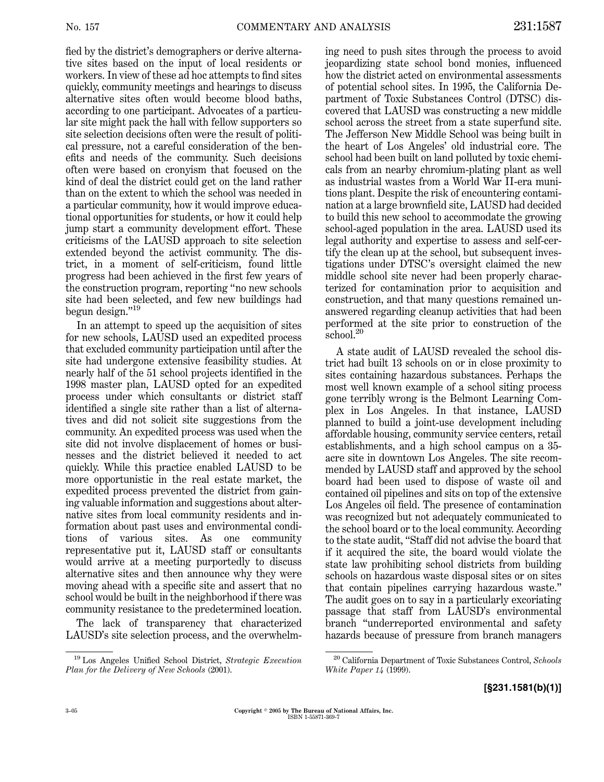fied by the district's demographers or derive alternative sites based on the input of local residents or workers. In view of these ad hoc attempts to find sites quickly, community meetings and hearings to discuss alternative sites often would become blood baths, according to one participant. Advocates of a particular site might pack the hall with fellow supporters so site selection decisions often were the result of political pressure, not a careful consideration of the benefits and needs of the community. Such decisions often were based on cronyism that focused on the kind of deal the district could get on the land rather than on the extent to which the school was needed in a particular community, how it would improve educational opportunities for students, or how it could help jump start a community development effort. These criticisms of the LAUSD approach to site selection extended beyond the activist community. The district, in a moment of self-criticism, found little progress had been achieved in the first few years of the construction program, reporting ''no new schools site had been selected, and few new buildings had begun design.''<sup>19</sup>

In an attempt to speed up the acquisition of sites for new schools, LAUSD used an expedited process that excluded community participation until after the site had undergone extensive feasibility studies. At nearly half of the 51 school projects identified in the 1998 master plan, LAUSD opted for an expedited process under which consultants or district staff identified a single site rather than a list of alternatives and did not solicit site suggestions from the community. An expedited process was used when the site did not involve displacement of homes or businesses and the district believed it needed to act quickly. While this practice enabled LAUSD to be more opportunistic in the real estate market, the expedited process prevented the district from gaining valuable information and suggestions about alternative sites from local community residents and information about past uses and environmental conditions of various sites. As one community representative put it, LAUSD staff or consultants would arrive at a meeting purportedly to discuss alternative sites and then announce why they were moving ahead with a specific site and assert that no school would be built in the neighborhood if there was community resistance to the predetermined location.

The lack of transparency that characterized LAUSD's site selection process, and the overwhelming need to push sites through the process to avoid jeopardizing state school bond monies, influenced how the district acted on environmental assessments of potential school sites. In 1995, the California Department of Toxic Substances Control (DTSC) discovered that LAUSD was constructinga new middle school across the street from a state superfund site. The Jefferson New Middle School was being built in the heart of Los Angeles' old industrial core. The school had been built on land polluted by toxic chemicals from an nearby chromium-plating plant as well as industrial wastes from a World War II-era munitions plant. Despite the risk of encountering contamination at a large brownfield site, LAUSD had decided to build this new school to accommodate the growing school-aged population in the area. LAUSD used its legal authority and expertise to assess and self-certify the clean up at the school, but subsequent investigations under DTSC's oversight claimed the new middle school site never had been properly characterized for contamination prior to acquisition and construction, and that many questions remained unanswered regarding cleanup activities that had been performed at the site prior to construction of the school.<sup>20</sup>

A state audit of LAUSD revealed the school district had built 13 schools on or in close proximity to sites containing hazardous substances. Perhaps the most well known example of a school siting process gone terribly wrong is the Belmont Learning Complex in Los Angeles. In that instance, LAUSD planned to build a joint-use development including affordable housing, community service centers, retail establishments, and a high school campus on a 35 acre site in downtown Los Angeles. The site recommended by LAUSD staff and approved by the school board had been used to dispose of waste oil and contained oil pipelines and sits on top of the extensive Los Angeles oil field. The presence of contamination was recognized but not adequately communicated to the school board or to the local community. According to the state audit, ''Staff did not advise the board that if it acquired the site, the board would violate the state law prohibiting school districts from building schools on hazardous waste disposal sites or on sites that contain pipelines carrying hazardous waste." The audit goes on to say in a particularly excoriating passage that staff from LAUSD's environmental branch ''underreported environmental and safety hazards because of pressure from branch managers

<sup>19</sup> Los Angeles Unified School District, *Strategic Execution Plan for the Delivery of New Schools* (2001).

<sup>20</sup> California Department of Toxic Substances Control, *Schools White Paper 14* (1999).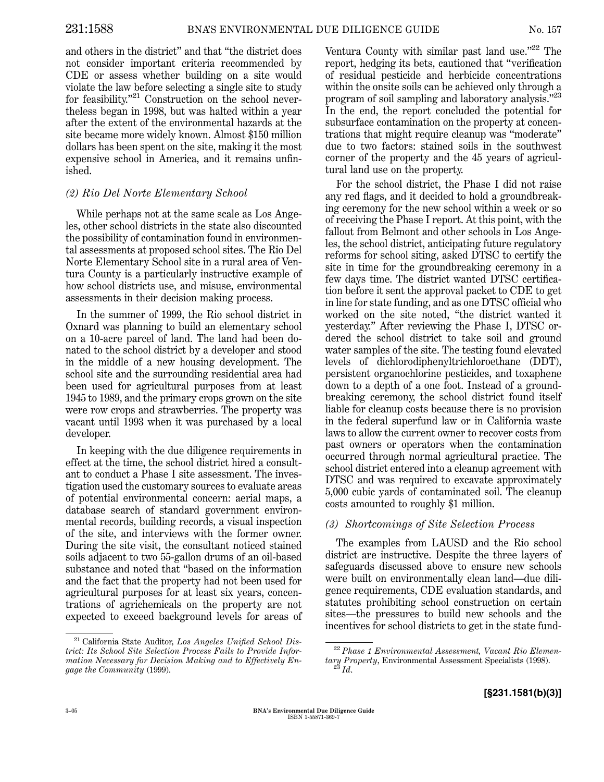and others in the district'' and that ''the district does not consider important criteria recommended by CDE or assess whether building on a site would violate the law before selectinga single site to study for feasibility."<sup>21</sup> Construction on the school nevertheless began in 1998, but was halted within a year after the extent of the environmental hazards at the site became more widely known. Almost \$150 million dollars has been spent on the site, making it the most expensive school in America, and it remains unfinished.

## *(2) Rio Del Norte Elementary School*

While perhaps not at the same scale as Los Angeles, other school districts in the state also discounted the possibility of contamination found in environmental assessments at proposed school sites. The Rio Del Norte Elementary School site in a rural area of Ventura County is a particularly instructive example of how school districts use, and misuse, environmental assessments in their decision making process.

In the summer of 1999, the Rio school district in Oxnard was planning to build an elementary school on a 10-acre parcel of land. The land had been donated to the school district by a developer and stood in the middle of a new housing development. The school site and the surrounding residential area had been used for agricultural purposes from at least 1945 to 1989, and the primary crops grown on the site were row crops and strawberries. The property was vacant until 1993 when it was purchased by a local developer.

In keeping with the due diligence requirements in effect at the time, the school district hired a consultant to conduct a Phase I site assessment. The investigation used the customary sources to evaluate areas of potential environmental concern: aerial maps, a database search of standard government environmental records, building records, a visual inspection of the site, and interviews with the former owner. During the site visit, the consultant noticed stained soils adjacent to two 55-gallon drums of an oil-based substance and noted that ''based on the information and the fact that the property had not been used for agricultural purposes for at least six years, concentrations of agrichemicals on the property are not expected to exceed background levels for areas of Ventura County with similar past land use. $"^{22}$  The report, hedging its bets, cautioned that ''verification of residual pesticide and herbicide concentrations within the onsite soils can be achieved only through a program of soil sampling and laboratory analysis.''<sup>23</sup> In the end, the report concluded the potential for subsurface contamination on the property at concentrations that might require cleanup was ''moderate'' due to two factors: stained soils in the southwest corner of the property and the 45 years of agricultural land use on the property.

For the school district, the Phase I did not raise any red flags, and it decided to hold a groundbreaking ceremony for the new school within a week or so of receiving the Phase I report. At this point, with the fallout from Belmont and other schools in Los Angeles, the school district, anticipating future regulatory reforms for school siting, asked DTSC to certify the site in time for the groundbreaking ceremony in a few days time. The district wanted DTSC certification before it sent the approval packet to CDE to get in line for state funding, and as one DTSC official who worked on the site noted, ''the district wanted it yesterday." After reviewing the Phase I, DTSC ordered the school district to take soil and ground water samples of the site. The testing found elevated levels of dichlorodiphenyltrichloroethane (DDT), persistent organochlorine pesticides, and toxaphene down to a depth of a one foot. Instead of a groundbreaking ceremony, the school district found itself liable for cleanup costs because there is no provision in the federal superfund law or in California waste laws to allow the current owner to recover costs from past owners or operators when the contamination occurred through normal agricultural practice. The school district entered into a cleanup agreement with DTSC and was required to excavate approximately 5,000 cubic yards of contaminated soil. The cleanup costs amounted to roughly \$1 million.

## *(3) Shortcomings of Site Selection Process*

The examples from LAUSD and the Rio school district are instructive. Despite the three layers of safeguards discussed above to ensure new schools were built on environmentally clean land—due diligence requirements, CDE evaluation standards, and statutes prohibiting school construction on certain sites—the pressures to build new schools and the incentives for school districts to get in the state fund-

<sup>21</sup> California State Auditor, *Los Angeles Unified School District: Its School Site Selection Process Fails to Provide Information Necessary for Decision Making and to Effectively Engage the Community* (1999).

<sup>22</sup> *Phase 1 Environmental Assessment, Vacant Rio Elementary Property*, Environmental Assessment Specialists (1998). <sup>23</sup> *Id*.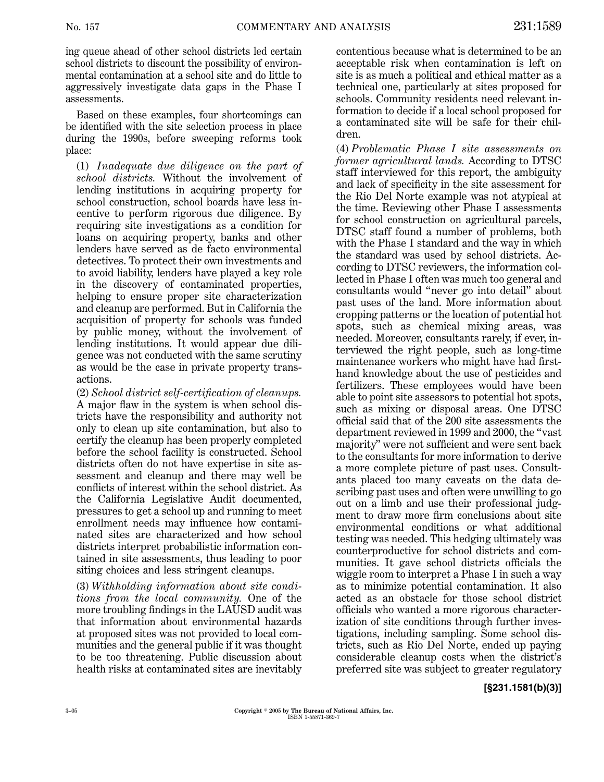ing queue ahead of other school districts led certain school districts to discount the possibility of environmental contamination at a school site and do little to aggressively investigate data gaps in the Phase I assessments.

Based on these examples, four shortcomings can be identified with the site selection process in place during the 1990s, before sweeping reforms took place:

(1) *Inadequate due diligence on the part of school districts.* Without the involvement of lending institutions in acquiring property for school construction, school boards have less incentive to perform rigorous due diligence. By requiring site investigations as a condition for loans on acquiring property, banks and other lenders have served as de facto environmental detectives. To protect their own investments and to avoid liability, lenders have played a key role in the discovery of contaminated properties, helping to ensure proper site characterization and cleanup are performed. But in California the acquisition of property for schools was funded by public money, without the involvement of lending institutions. It would appear due diligence was not conducted with the same scrutiny as would be the case in private property transactions.

(2) *School district self-certification of cleanups.* A major flaw in the system is when school districts have the responsibility and authority not only to clean up site contamination, but also to certify the cleanup has been properly completed before the school facility is constructed. School districts often do not have expertise in site assessment and cleanup and there may well be conflicts of interest within the school district. As the California Legislative Audit documented, pressures to get a school up and running to meet enrollment needs may influence how contaminated sites are characterized and how school districts interpret probabilistic information contained in site assessments, thus leading to poor siting choices and less stringent cleanups.

(3) *Withholding information about site conditions from the local community.* One of the more troubling findings in the LAUSD audit was that information about environmental hazards at proposed sites was not provided to local communities and the general public if it was thought to be too threatening. Public discussion about health risks at contaminated sites are inevitably

contentious because what is determined to be an acceptable risk when contamination is left on site is as much a political and ethical matter as a technical one, particularly at sites proposed for schools. Community residents need relevant information to decide if a local school proposed for a contaminated site will be safe for their children.

(4) *Problematic Phase I site assessments on former agricultural lands.* According to DTSC staff interviewed for this report, the ambiguity and lack of specificity in the site assessment for the Rio Del Norte example was not atypical at the time. Reviewing other Phase I assessments for school construction on agricultural parcels, DTSC staff found a number of problems, both with the Phase I standard and the way in which the standard was used by school districts. According to DTSC reviewers, the information collected in Phase I often was much too general and consultants would ''never go into detail'' about past uses of the land. More information about cropping patterns or the location of potential hot spots, such as chemical mixing areas, was needed. Moreover, consultants rarely, if ever, interviewed the right people, such as long-time maintenance workers who might have had firsthand knowledge about the use of pesticides and fertilizers. These employees would have been able to point site assessors to potential hot spots, such as mixing or disposal areas. One DTSC official said that of the 200 site assessments the department reviewed in 1999 and 2000, the ''vast majority'' were not sufficient and were sent back to the consultants for more information to derive a more complete picture of past uses. Consultants placed too many caveats on the data describing past uses and often were unwilling to go out on a limb and use their professional judgment to draw more firm conclusions about site environmental conditions or what additional testing was needed. This hedging ultimately was counterproductive for school districts and communities. It gave school districts officials the wiggle room to interpret a Phase I in such a way as to minimize potential contamination. It also acted as an obstacle for those school district officials who wanted a more rigorous characterization of site conditions through further investigations, including sampling. Some school districts, such as Rio Del Norte, ended up paying considerable cleanup costs when the district's preferred site was subject to greater regulatory

#### **[§231.1581(b)(3)]**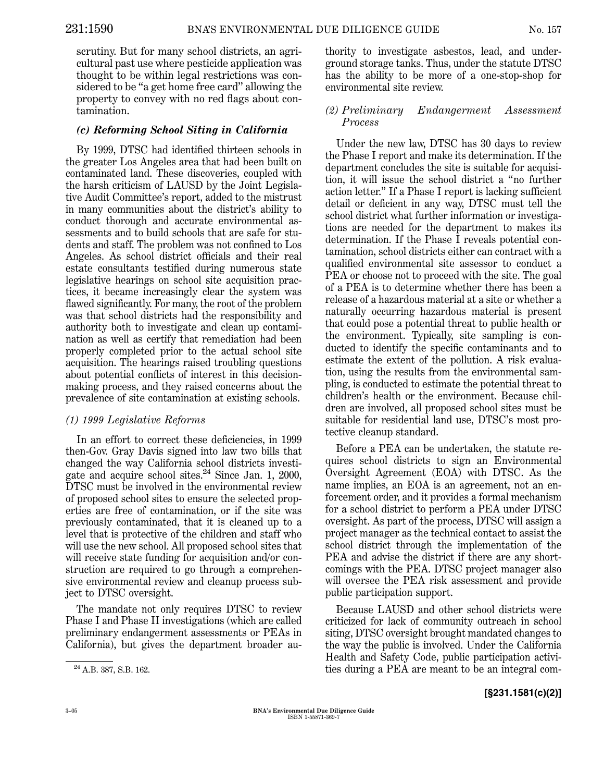scrutiny. But for many school districts, an agricultural past use where pesticide application was thought to be within legal restrictions was considered to be ''a get home free card'' allowing the property to convey with no red flags about contamination.

## *(c) Reforming School Siting in California*

By 1999, DTSC had identified thirteen schools in the greater Los Angeles area that had been built on contaminated land. These discoveries, coupled with the harsh criticism of LAUSD by the Joint Legislative Audit Committee's report, added to the mistrust in many communities about the district's ability to conduct thorough and accurate environmental assessments and to build schools that are safe for students and staff. The problem was not confined to Los Angeles. As school district officials and their real estate consultants testified during numerous state legislative hearings on school site acquisition practices, it became increasingly clear the system was flawed significantly. For many, the root of the problem was that school districts had the responsibility and authority both to investigate and clean up contamination as well as certify that remediation had been properly completed prior to the actual school site acquisition. The hearings raised troubling questions about potential conflicts of interest in this decisionmaking process, and they raised concerns about the prevalence of site contamination at existing schools.

#### *(1) 1999 Legislative Reforms*

In an effort to correct these deficiencies, in 1999 then-Gov. Gray Davis signed into law two bills that changed the way California school districts investigate and acquire school sites. $^{24}$  Since Jan. 1, 2000, DTSC must be involved in the environmental review of proposed school sites to ensure the selected properties are free of contamination, or if the site was previously contaminated, that it is cleaned up to a level that is protective of the children and staff who will use the new school. All proposed school sites that will receive state funding for acquisition and/or construction are required to go through a comprehensive environmental review and cleanup process subject to DTSC oversight.

The mandate not only requires DTSC to review Phase I and Phase II investigations (which are called preliminary endangerment assessments or PEAs in California), but gives the department broader authority to investigate asbestos, lead, and underground storage tanks. Thus, under the statute DTSC has the ability to be more of a one-stop-shop for environmental site review.

#### *(2) Preliminary Endangerment Assessment Process*

Under the new law, DTSC has 30 days to review the Phase I report and make its determination. If the department concludes the site is suitable for acquisition, it will issue the school district a ''no further action letter." If a Phase I report is lacking sufficient detail or deficient in any way, DTSC must tell the school district what further information or investigations are needed for the department to makes its determination. If the Phase I reveals potential contamination, school districts either can contract with a qualified environmental site assessor to conduct a PEA or choose not to proceed with the site. The goal of a PEA is to determine whether there has been a release of a hazardous material at a site or whether a naturally occurring hazardous material is present that could pose a potential threat to public health or the environment. Typically, site sampling is conducted to identify the specific contaminants and to estimate the extent of the pollution. A risk evaluation, using the results from the environmental sampling, is conducted to estimate the potential threat to children's health or the environment. Because children are involved, all proposed school sites must be suitable for residential land use, DTSC's most protective cleanup standard.

Before a PEA can be undertaken, the statute requires school districts to sign an Environmental Oversight Agreement (EOA) with DTSC. As the name implies, an EOA is an agreement, not an enforcement order, and it provides a formal mechanism for a school district to perform a PEA under DTSC oversight. As part of the process, DTSC will assign a project manager as the technical contact to assist the school district through the implementation of the PEA and advise the district if there are any shortcomings with the PEA. DTSC project manager also will oversee the PEA risk assessment and provide public participation support.

Because LAUSD and other school districts were criticized for lack of community outreach in school siting, DTSC oversight brought mandated changes to the way the public is involved. Under the California Health and Safety Code, public participation activi-<sup>24</sup> A.B. 387, S.B. 162. ties during a PEA are meant to be an integral com-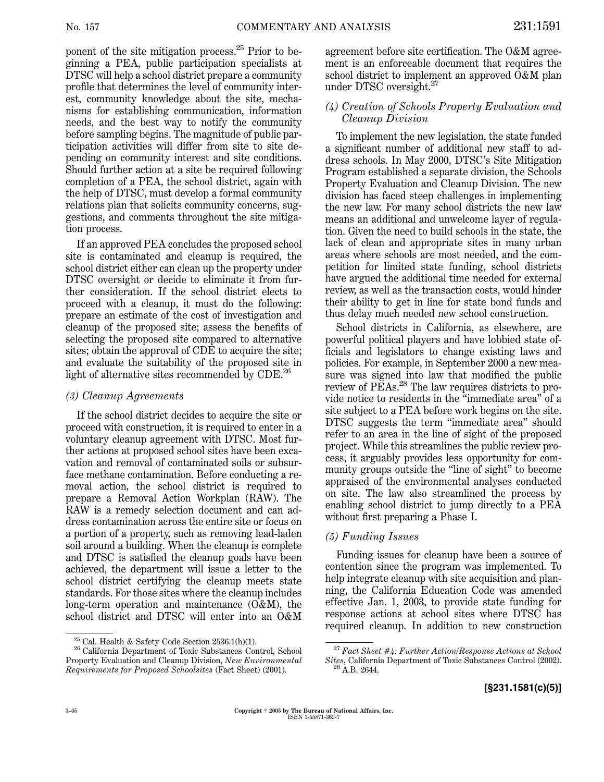ponent of the site mitigation process.<sup>25</sup> Prior to beginning a PEA, public participation specialists at DTSC will help a school district prepare a community profile that determines the level of community interest, community knowledge about the site, mechanisms for establishing communication, information needs, and the best way to notify the community before sampling begins. The magnitude of public participation activities will differ from site to site depending on community interest and site conditions. Should further action at a site be required following completion of a PEA, the school district, again with the help of DTSC, must develop a formal community relations plan that solicits community concerns, suggestions, and comments throughout the site mitigation process.

If an approved PEA concludes the proposed school site is contaminated and cleanup is required, the school district either can clean up the property under DTSC oversight or decide to eliminate it from further consideration. If the school district elects to proceed with a cleanup, it must do the following: prepare an estimate of the cost of investigation and cleanup of the proposed site; assess the benefits of selecting the proposed site compared to alternative sites; obtain the approval of CDE to acquire the site; and evaluate the suitability of the proposed site in light of alternative sites recommended by CDE.<sup>26</sup>

#### *(3) Cleanup Agreements*

If the school district decides to acquire the site or proceed with construction, it is required to enter in a voluntary cleanup agreement with DTSC. Most further actions at proposed school sites have been excavation and removal of contaminated soils or subsurface methane contamination. Before conducting a removal action, the school district is required to prepare a Removal Action Workplan (RAW). The RAW is a remedy selection document and can address contamination across the entire site or focus on a portion of a property, such as removing lead-laden soil around a building. When the cleanup is complete and DTSC is satisfied the cleanup goals have been achieved, the department will issue a letter to the school district certifying the cleanup meets state standards. For those sites where the cleanup includes long-term operation and maintenance (O&M), the school district and DTSC will enter into an O&M agreement before site certification. The O&M agreement is an enforceable document that requires the school district to implement an approved O&M plan under DTSC oversight.<sup>27</sup>

## *(4) Creation of Schools Property Evaluation and Cleanup Division*

To implement the new legislation, the state funded a significant number of additional new staff to address schools. In May 2000, DTSC's Site Mitigation Program established a separate division, the Schools Property Evaluation and Cleanup Division. The new division has faced steep challenges in implementing the new law. For many school districts the new law means an additional and unwelcome layer of regulation. Given the need to build schools in the state, the lack of clean and appropriate sites in many urban areas where schools are most needed, and the competition for limited state funding, school districts have argued the additional time needed for external review, as well as the transaction costs, would hinder their ability to get in line for state bond funds and thus delay much needed new school construction.

School districts in California, as elsewhere, are powerful political players and have lobbied state officials and legislators to change existing laws and policies. For example, in September 2000 a new measure was signed into law that modified the public review of PEAs.<sup>28</sup> The law requires districts to provide notice to residents in the ''immediate area'' of a site subject to a PEA before work begins on the site. DTSC suggests the term ''immediate area'' should refer to an area in the line of sight of the proposed project. While this streamlines the public review process, it arguably provides less opportunity for community groups outside the "line of sight" to become appraised of the environmental analyses conducted on site. The law also streamlined the process by enabling school district to jump directly to a PEA without first preparing a Phase I.

## *(5) Funding Issues*

Funding issues for cleanup have been a source of contention since the program was implemented. To help integrate cleanup with site acquisition and planning, the California Education Code was amended effective Jan.  $1, 2003$ , to provide state funding for response actions at school sites where DTSC has required cleanup. In addition to new construction

 $^{25}$  Cal. Health & Safety Code Section 2536.1(h)(1).<br> $^{26}$  California Department of Toxic Substances Control, School Property Evaluation and Cleanup Division, *New Environmental Requirements for Proposed Schoolsites* (Fact Sheet) (2001).

<sup>27</sup> *Fact Sheet #4: Further Action/Response Actions at School Sites*, California Department of Toxic Substances Control (2002). <sup>28</sup> A.B. 2644.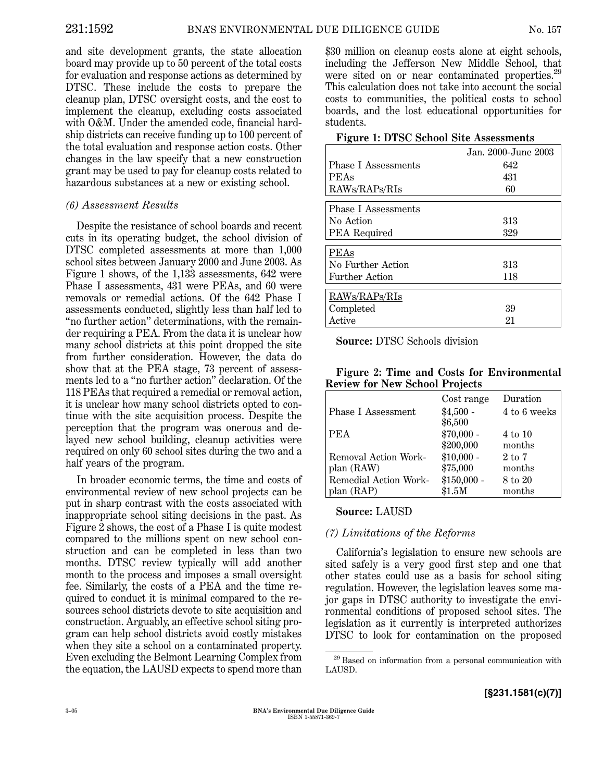and site development grants, the state allocation board may provide up to 50 percent of the total costs for evaluation and response actions as determined by DTSC. These include the costs to prepare the cleanup plan, DTSC oversight costs, and the cost to implement the cleanup, excluding costs associated with O&M. Under the amended code, financial hardship districts can receive funding up to 100 percent of the total evaluation and response action costs. Other changes in the law specify that a new construction grant may be used to pay for cleanup costs related to hazardous substances at a new or existing school.

## *(6) Assessment Results*

Despite the resistance of school boards and recent cuts in its operating budget, the school division of DTSC completed assessments at more than 1,000 school sites between January 2000 and June 2003. As Figure 1 shows, of the 1,133 assessments, 642 were Phase I assessments, 431 were PEAs, and 60 were removals or remedial actions. Of the 642 Phase I assessments conducted, slightly less than half led to "no further action" determinations, with the remainder requiringa PEA. From the data it is unclear how many school districts at this point dropped the site from further consideration. However, the data do show that at the PEA stage, 73 percent of assessments led to a ''no further action'' declaration. Of the 118 PEAs that required a remedial or removal action, it is unclear how many school districts opted to continue with the site acquisition process. Despite the perception that the program was onerous and delayed new school building, cleanup activities were required on only 60 school sites during the two and a half years of the program.

In broader economic terms, the time and costs of environmental review of new school projects can be put in sharp contrast with the costs associated with inappropriate school siting decisions in the past. As Figure 2 shows, the cost of a Phase I is quite modest compared to the millions spent on new school construction and can be completed in less than two months. DTSC review typically will add another month to the process and imposes a small oversight fee. Similarly, the costs of a PEA and the time required to conduct it is minimal compared to the resources school districts devote to site acquisition and construction. Arguably, an effective school siting program can help school districts avoid costly mistakes when they site a school on a contaminated property. Even excluding the Belmont Learning Complex from the equation, the LAUSD expects to spend more than

\$30 million on cleanup costs alone at eight schools, including the Jefferson New Middle School, that were sited on or near contaminated properties.<sup>29</sup> This calculation does not take into account the social costs to communities, the political costs to school boards, and the lost educational opportunities for students.

|  |  |  |  |  | <b>Figure 1: DTSC School Site Assessments</b> |
|--|--|--|--|--|-----------------------------------------------|
|--|--|--|--|--|-----------------------------------------------|

|                            | Jan. 2000-June 2003 |  |  |  |
|----------------------------|---------------------|--|--|--|
| Phase I Assessments        | 642                 |  |  |  |
| PEAs                       | 431                 |  |  |  |
| RAWs/RAPs/RIs              | 60                  |  |  |  |
| <b>Phase I Assessments</b> |                     |  |  |  |
| No Action                  | 313                 |  |  |  |
| PEA Required               | 329                 |  |  |  |
| PEAs                       |                     |  |  |  |
| No Further Action          | 313                 |  |  |  |
| <b>Further Action</b>      | 118                 |  |  |  |
| RAWs/RAPs/RIs              |                     |  |  |  |
| Completed                  | 39                  |  |  |  |
| Active                     | 21                  |  |  |  |

**Source:** DTSC Schools division

|                                       |  | Figure 2: Time and Costs for Environmental |
|---------------------------------------|--|--------------------------------------------|
| <b>Review for New School Projects</b> |  |                                            |

|                       | Cost range   | Duration          |
|-----------------------|--------------|-------------------|
| Phase I Assessment    | $$4,500 -$   | 4 to 6 weeks      |
|                       | \$6,500      |                   |
| <b>PEA</b>            | $$70,000 -$  | 4 to 10           |
|                       | \$200,000    | months            |
| Removal Action Work-  | $$10,000 -$  | $2 \text{ to } 7$ |
| plan (RAW)            | \$75,000     | months            |
| Remedial Action Work- | $$150,000 -$ | 8 to 20           |
| plan (RAP)            | \$1.5M       | months            |

## **Source:** LAUSD

## *(7) Limitations of the Reforms*

California's legislation to ensure new schools are sited safely is a very good first step and one that other states could use as a basis for school siting regulation. However, the legislation leaves some major gaps in DTSC authority to investigate the environmental conditions of proposed school sites. The legislation as it currently is interpreted authorizes DTSC to look for contamination on the proposed

<sup>29</sup> Based on information from a personal communication with LAUSD.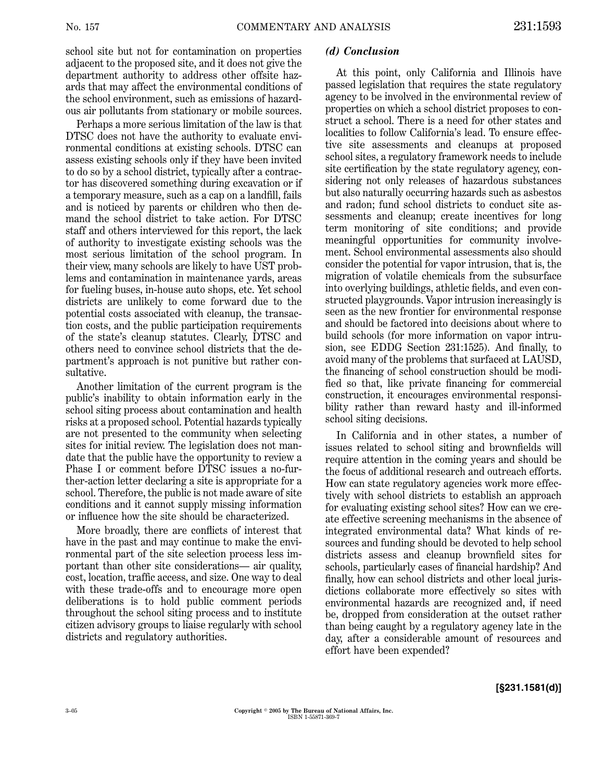school site but not for contamination on properties adjacent to the proposed site, and it does not give the department authority to address other offsite hazards that may affect the environmental conditions of the school environment, such as emissions of hazardous air pollutants from stationary or mobile sources.

Perhaps a more serious limitation of the law is that DTSC does not have the authority to evaluate environmental conditions at existing schools. DTSC can assess existing schools only if they have been invited to do so by a school district, typically after a contractor has discovered something during excavation or if a temporary measure, such as a cap on a landfill, fails and is noticed by parents or children who then demand the school district to take action. For DTSC staff and others interviewed for this report, the lack of authority to investigate existing schools was the most serious limitation of the school program. In their view, many schools are likely to have UST problems and contamination in maintenance yards, areas for fueling buses, in-house auto shops, etc. Yet school districts are unlikely to come forward due to the potential costs associated with cleanup, the transaction costs, and the public participation requirements of the state's cleanup statutes. Clearly, DTSC and others need to convince school districts that the department's approach is not punitive but rather consultative.

Another limitation of the current program is the public's inability to obtain information early in the school siting process about contamination and health risks at a proposed school. Potential hazards typically are not presented to the community when selecting sites for initial review. The legislation does not mandate that the public have the opportunity to review a Phase I or comment before DTSC issues a no-further-action letter declaringa site is appropriate for a school. Therefore, the public is not made aware of site conditions and it cannot supply missing information or influence how the site should be characterized.

More broadly, there are conflicts of interest that have in the past and may continue to make the environmental part of the site selection process less important than other site considerations— air quality, cost, location, traffic access, and size. One way to deal with these trade-offs and to encourage more open deliberations is to hold public comment periods throughout the school siting process and to institute citizen advisory groups to liaise regularly with school districts and regulatory authorities.

#### *(d) Conclusion*

At this point, only California and Illinois have passed legislation that requires the state regulatory agency to be involved in the environmental review of properties on which a school district proposes to construct a school. There is a need for other states and localities to follow California's lead. To ensure effective site assessments and cleanups at proposed school sites, a regulatory framework needs to include site certification by the state regulatory agency, considering not only releases of hazardous substances but also naturally occurringhazards such as asbestos and radon; fund school districts to conduct site assessments and cleanup; create incentives for long term monitoring of site conditions; and provide meaningful opportunities for community involvement. School environmental assessments also should consider the potential for vapor intrusion, that is, the migration of volatile chemicals from the subsurface into overlying buildings, athletic fields, and even constructed playgrounds. Vapor intrusion increasingly is seen as the new frontier for environmental response and should be factored into decisions about where to build schools (for more information on vapor intrusion, see EDDG Section 231:1525). And finally, to avoid many of the problems that surfaced at LAUSD, the financing of school construction should be modified so that, like private financing for commercial construction, it encourages environmental responsibility rather than reward hasty and ill-informed school siting decisions.

In California and in other states, a number of issues related to school siting and brownfields will require attention in the comingyears and should be the focus of additional research and outreach efforts. How can state regulatory agencies work more effectively with school districts to establish an approach for evaluating existing school sites? How can we create effective screening mechanisms in the absence of integrated environmental data? What kinds of resources and funding should be devoted to help school districts assess and cleanup brownfield sites for schools, particularly cases of financial hardship? And finally, how can school districts and other local jurisdictions collaborate more effectively so sites with environmental hazards are recognized and, if need be, dropped from consideration at the outset rather than being caught by a regulatory agency late in the day, after a considerable amount of resources and effort have been expended?

**[§231.1581(d)]**